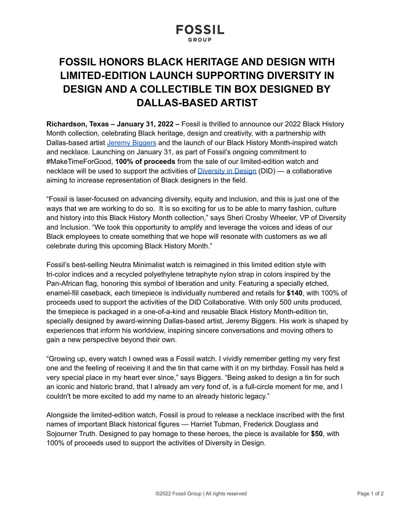# **FOSSIL**

## **FOSSIL HONORS BLACK HERITAGE AND DESIGN WITH LIMITED-EDITION LAUNCH SUPPORTING DIVERSITY IN DESIGN AND A COLLECTIBLE TIN BOX DESIGNED BY DALLAS-BASED ARTIST**

**Richardson, Texas – January 31, 2022 –** Fossil is thrilled to announce our 2022 Black History Month collection, celebrating Black heritage, design and creativity, with a partnership with Dallas-based artist Jeremy [Biggers](https://jeremybiggers.com/) and the launch of our Black History Month-inspired watch and necklace. Launching on January 31, as part of Fossil's ongoing commitment to #MakeTimeForGood, **100% of proceeds** from the sale of our limited-edition watch and necklace will be used to support the activities of [Diversity](https://diversityindesign.com/) in Design (DID) — a collaborative aiming to increase representation of Black designers in the field.

"Fossil is laser-focused on advancing diversity, equity and inclusion, and this is just one of the ways that we are working to do so. It is so exciting for us to be able to marry fashion, culture and history into this Black History Month collection," says Sheri Crosby Wheeler, VP of Diversity and Inclusion. "We took this opportunity to amplify and leverage the voices and ideas of our Black employees to create something that we hope will resonate with customers as we all celebrate during this upcoming Black History Month."

Fossil's best-selling Neutra Minimalist watch is reimagined in this limited edition style with tri-color indices and a recycled polyethylene tetraphyte nylon strap in colors inspired by the Pan-African flag, honoring this symbol of liberation and unity. Featuring a specially etched, enamel-fill caseback, each timepiece is individually numbered and retails for **\$140**, with 100% of proceeds used to support the activities of the DID Collaborative. With only 500 units produced, the timepiece is packaged in a one-of-a-kind and reusable Black History Month-edition tin, specially designed by award-winning Dallas-based artist, Jeremy Biggers. His work is shaped by experiences that inform his worldview, inspiring sincere conversations and moving others to gain a new perspective beyond their own.

"Growing up, every watch I owned was a Fossil watch. I vividly remember getting my very first one and the feeling of receiving it and the tin that came with it on my birthday. Fossil has held a very special place in my heart ever since," says Biggers. "Being asked to design a tin for such an iconic and historic brand, that I already am very fond of, is a full-circle moment for me, and I couldn't be more excited to add my name to an already historic legacy."

Alongside the limited-edition watch, Fossil is proud to release a necklace inscribed with the first names of important Black historical figures — Harriet Tubman, Frederick Douglass and Sojourner Truth. Designed to pay homage to these heroes, the piece is available for **\$50**, with 100% of proceeds used to support the activities of Diversity in Design.